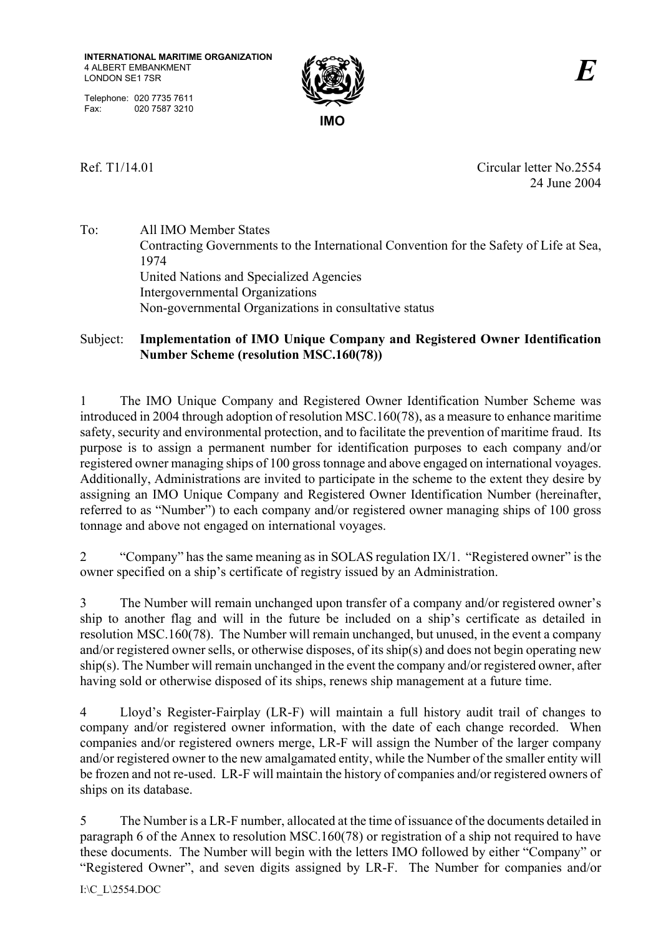Telephone: 020 7735 7611 Fax: 020 7587 3210



Ref. T1/14.01 Circular letter No.2554 24 June 2004

To: All IMO Member States Contracting Governments to the International Convention for the Safety of Life at Sea, 1974 United Nations and Specialized Agencies Intergovernmental Organizations Non-governmental Organizations in consultative status

# Subject: **Implementation of IMO Unique Company and Registered Owner Identification Number Scheme (resolution MSC.160(78))**

1 The IMO Unique Company and Registered Owner Identification Number Scheme was introduced in 2004 through adoption of resolution MSC.160(78), as a measure to enhance maritime safety, security and environmental protection, and to facilitate the prevention of maritime fraud. Its purpose is to assign a permanent number for identification purposes to each company and/or registered owner managing ships of 100 gross tonnage and above engaged on international voyages. Additionally, Administrations are invited to participate in the scheme to the extent they desire by assigning an IMO Unique Company and Registered Owner Identification Number (hereinafter, referred to as "Number") to each company and/or registered owner managing ships of 100 gross tonnage and above not engaged on international voyages.

2 "Company" has the same meaning as in SOLAS regulation IX/1. "Registered owner" is the owner specified on a ship's certificate of registry issued by an Administration.

3 The Number will remain unchanged upon transfer of a company and/or registered owner's ship to another flag and will in the future be included on a ship's certificate as detailed in resolution MSC.160(78). The Number will remain unchanged, but unused, in the event a company and/or registered owner sells, or otherwise disposes, of its ship(s) and does not begin operating new ship(s). The Number will remain unchanged in the event the company and/or registered owner, after having sold or otherwise disposed of its ships, renews ship management at a future time.

4 Lloyd's Register-Fairplay (LR-F) will maintain a full history audit trail of changes to company and/or registered owner information, with the date of each change recorded. When companies and/or registered owners merge, LR-F will assign the Number of the larger company and/or registered owner to the new amalgamated entity, while the Number of the smaller entity will be frozen and not re-used. LR-F will maintain the history of companies and/or registered owners of ships on its database.

5 The Number is a LR-F number, allocated at the time of issuance of the documents detailed in paragraph 6 of the Annex to resolution MSC.160(78) or registration of a ship not required to have these documents. The Number will begin with the letters IMO followed by either "Company" or "Registered Owner", and seven digits assigned by LR-F. The Number for companies and/or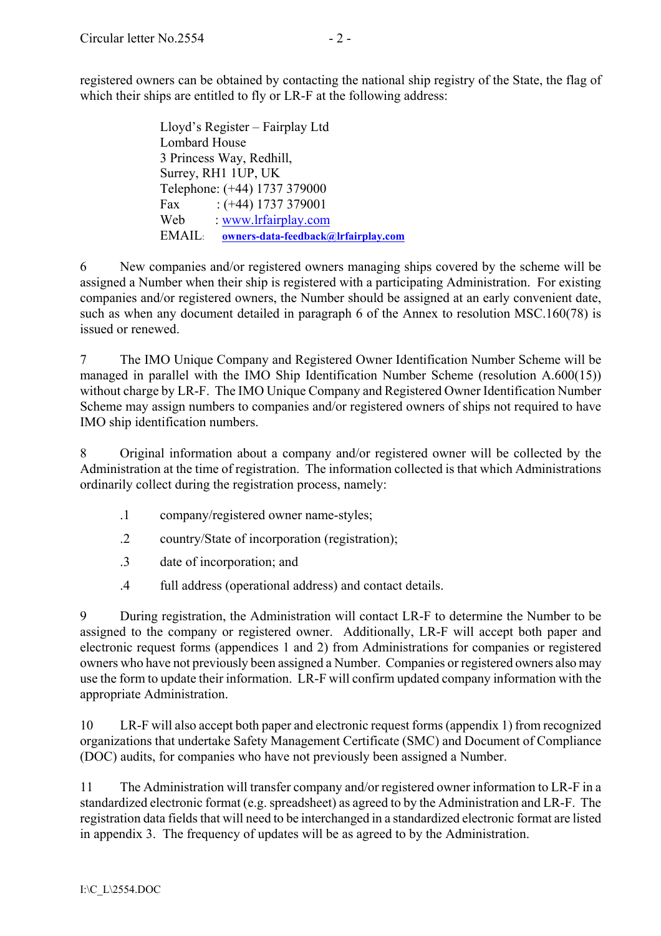registered owners can be obtained by contacting the national ship registry of the State, the flag of which their ships are entitled to fly or LR-F at the following address:

> Lloyd's Register – Fairplay Ltd Lombard House 3 Princess Way, Redhill, Surrey, RH1 1UP, UK Telephone: (+44) 1737 379000 Fax :  $(+44)$  1737 379001 Web : www.lrfairplay.com EMAIL: **owners-data-feedback@lrfairplay.com**

6 New companies and/or registered owners managing ships covered by the scheme will be assigned a Number when their ship is registered with a participating Administration. For existing companies and/or registered owners, the Number should be assigned at an early convenient date, such as when any document detailed in paragraph 6 of the Annex to resolution MSC.160(78) is issued or renewed.

7 The IMO Unique Company and Registered Owner Identification Number Scheme will be managed in parallel with the IMO Ship Identification Number Scheme (resolution A.600(15)) without charge by LR-F. The IMO Unique Company and Registered Owner Identification Number Scheme may assign numbers to companies and/or registered owners of ships not required to have IMO ship identification numbers.

8 Original information about a company and/or registered owner will be collected by the Administration at the time of registration. The information collected is that which Administrations ordinarily collect during the registration process, namely:

- .1 company/registered owner name-styles;
- .2 country/State of incorporation (registration);
- .3 date of incorporation; and
- .4 full address (operational address) and contact details.

9 During registration, the Administration will contact LR-F to determine the Number to be assigned to the company or registered owner. Additionally, LR-F will accept both paper and electronic request forms (appendices 1 and 2) from Administrations for companies or registered owners who have not previously been assigned a Number. Companies or registered owners also may use the form to update their information. LR-F will confirm updated company information with the appropriate Administration.

10 LR-F will also accept both paper and electronic request forms (appendix 1) from recognized organizations that undertake Safety Management Certificate (SMC) and Document of Compliance (DOC) audits, for companies who have not previously been assigned a Number.

11 The Administration will transfer company and/or registered owner information to LR-F in a standardized electronic format (e.g. spreadsheet) as agreed to by the Administration and LR-F. The registration data fields that will need to be interchanged in a standardized electronic format are listed in appendix 3. The frequency of updates will be as agreed to by the Administration.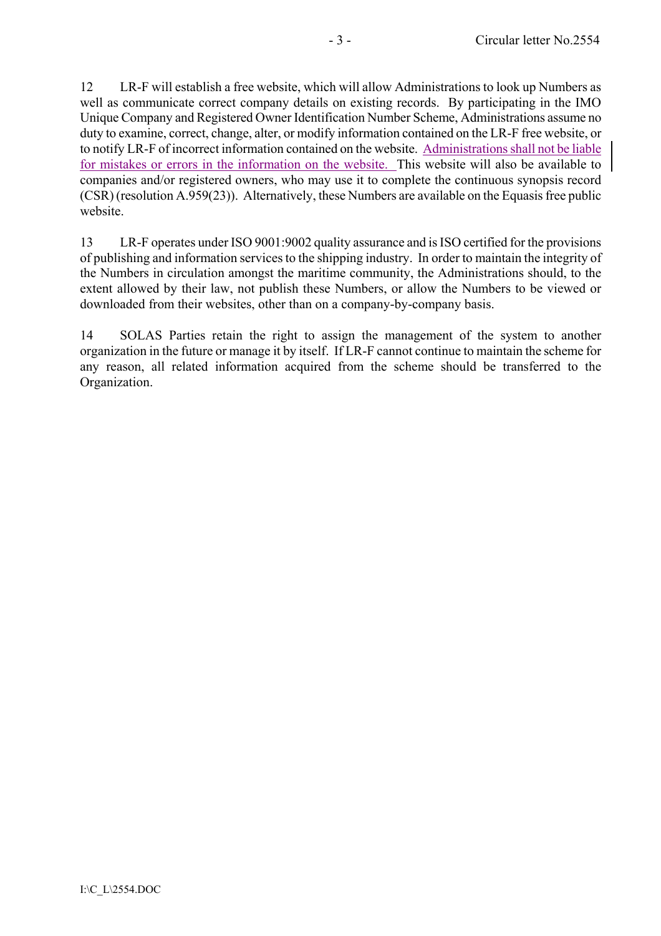12 LR-F will establish a free website, which will allow Administrations to look up Numbers as well as communicate correct company details on existing records. By participating in the IMO Unique Company and Registered Owner Identification Number Scheme, Administrations assume no duty to examine, correct, change, alter, or modify information contained on the LR-F free website, or to notify LR-F of incorrect information contained on the website. Administrations shall not be liable for mistakes or errors in the information on the website. This website will also be available to companies and/or registered owners, who may use it to complete the continuous synopsis record (CSR) (resolution A.959(23)). Alternatively, these Numbers are available on the Equasis free public website.

13 LR-F operates under ISO 9001:9002 quality assurance and is ISO certified for the provisions of publishing and information services to the shipping industry. In order to maintain the integrity of the Numbers in circulation amongst the maritime community, the Administrations should, to the extent allowed by their law, not publish these Numbers, or allow the Numbers to be viewed or downloaded from their websites, other than on a company-by-company basis.

14 SOLAS Parties retain the right to assign the management of the system to another organization in the future or manage it by itself. If LR-F cannot continue to maintain the scheme for any reason, all related information acquired from the scheme should be transferred to the Organization.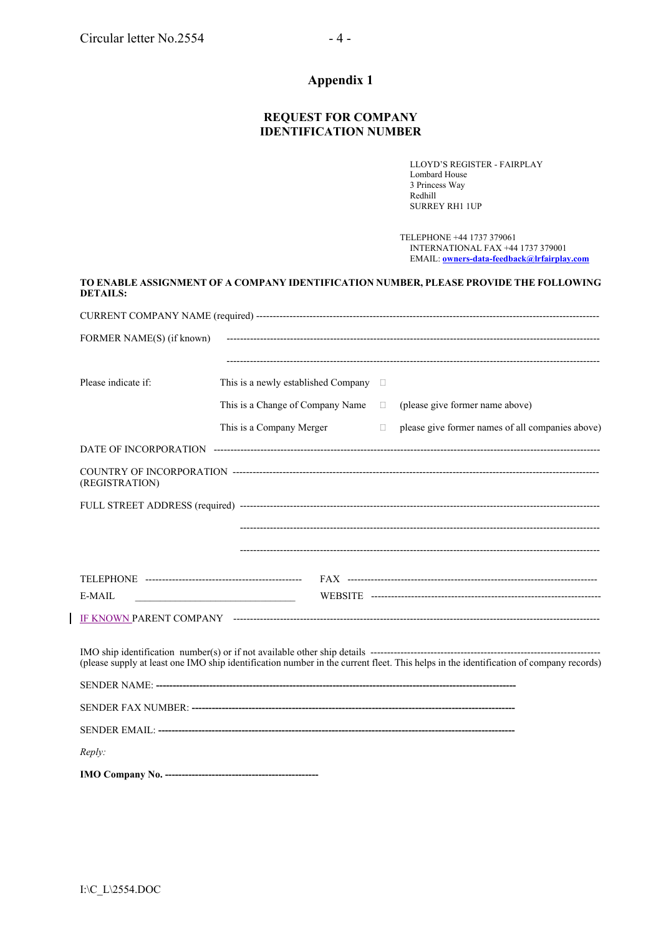# **Appendix 1**

### **REQUEST FOR COMPANY IDENTIFICATION NUMBER**

LLOYD'S REGISTER - FAIRPLAY Lombard House 3 Princess Way Redhill SURREY RH1 1UP

 TELEPHONE +44 1737 379061 INTERNATIONAL FAX +44 1737 379001 EMAIL: **owners-data-feedback@lrfairplay.com**

| DETAILS:                  |                                               |        | TO ENABLE ASSIGNMENT OF A COMPANY IDENTIFICATION NUMBER, PLEASE PROVIDE THE FOLLOWING                                                 |
|---------------------------|-----------------------------------------------|--------|---------------------------------------------------------------------------------------------------------------------------------------|
|                           |                                               |        |                                                                                                                                       |
| FORMER NAME(S) (if known) |                                               |        |                                                                                                                                       |
|                           |                                               |        |                                                                                                                                       |
| Please indicate if:       | This is a newly established Company $\square$ |        |                                                                                                                                       |
|                           | This is a Change of Company Name $\square$    |        | (please give former name above)                                                                                                       |
|                           | This is a Company Merger                      | $\Box$ | please give former names of all companies above)                                                                                      |
|                           |                                               |        |                                                                                                                                       |
| (REGISTRATION)            |                                               |        |                                                                                                                                       |
|                           |                                               |        |                                                                                                                                       |
|                           |                                               |        |                                                                                                                                       |
|                           |                                               |        |                                                                                                                                       |
|                           |                                               |        |                                                                                                                                       |
| $E-MAIL$                  |                                               |        |                                                                                                                                       |
|                           |                                               |        |                                                                                                                                       |
|                           |                                               |        | (please supply at least one IMO ship identification number in the current fleet. This helps in the identification of company records) |
|                           |                                               |        |                                                                                                                                       |
|                           |                                               |        |                                                                                                                                       |
|                           |                                               |        |                                                                                                                                       |
| Reply:                    |                                               |        |                                                                                                                                       |
|                           |                                               |        |                                                                                                                                       |

 $\overline{\phantom{a}}$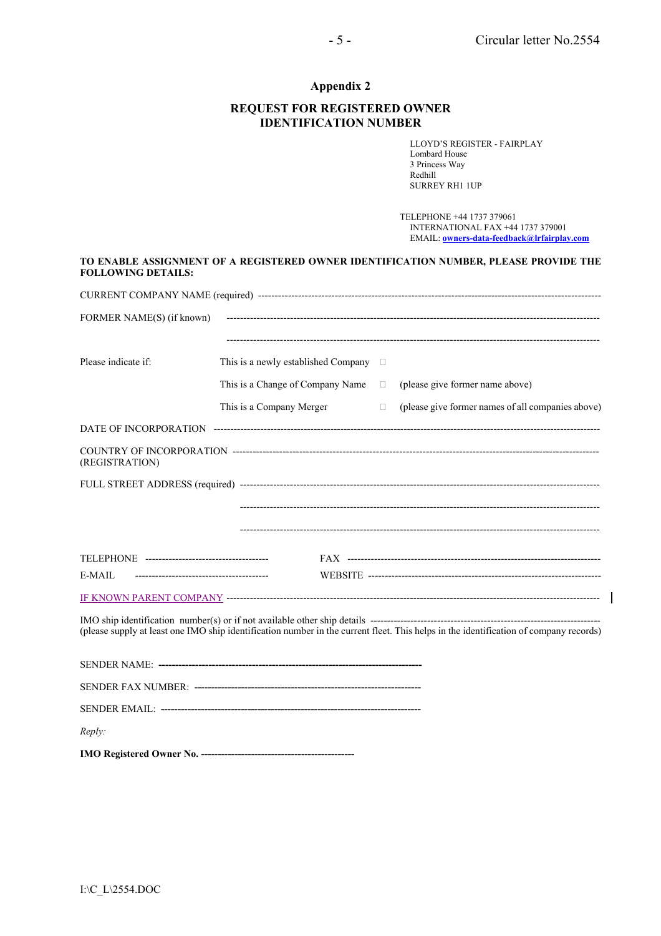$\overline{\phantom{a}}$ 

# **Appendix 2**

#### **REQUEST FOR REGISTERED OWNER IDENTIFICATION NUMBER**

LLOYD'S REGISTER - FAIRPLAY Lombard House 3 Princess Way Redhill SURREY RH1 1UP

 TELEPHONE +44 1737 379061 INTERNATIONAL FAX +44 1737 379001 EMAIL: **owners-data-feedback@lrfairplay.com**

| TO ENABLE ASSIGNMENT OF A REGISTERED OWNER IDENTIFICATION NUMBER, PLEASE PROVIDE THE |  |
|--------------------------------------------------------------------------------------|--|
| <b>FOLLOWING DETAILS:</b>                                                            |  |

| FORMER NAME(S) (if known) |                                     |        |                                                                                                                                       |
|---------------------------|-------------------------------------|--------|---------------------------------------------------------------------------------------------------------------------------------------|
|                           |                                     |        |                                                                                                                                       |
| Please indicate if:       | This is a newly established Company | $\Box$ |                                                                                                                                       |
|                           | This is a Change of Company Name    | $\Box$ | (please give former name above)                                                                                                       |
|                           | This is a Company Merger            | $\Box$ | (please give former names of all companies above)                                                                                     |
|                           |                                     |        |                                                                                                                                       |
| (REGISTRATION)            |                                     |        |                                                                                                                                       |
|                           |                                     |        |                                                                                                                                       |
|                           |                                     |        |                                                                                                                                       |
|                           |                                     |        |                                                                                                                                       |
|                           |                                     |        |                                                                                                                                       |
| E-MAIL                    |                                     |        |                                                                                                                                       |
|                           |                                     |        |                                                                                                                                       |
|                           |                                     |        | (please supply at least one IMO ship identification number in the current fleet. This helps in the identification of company records) |
|                           |                                     |        |                                                                                                                                       |
|                           |                                     |        |                                                                                                                                       |
|                           |                                     |        |                                                                                                                                       |

*Reply:* 

**IMO Registered Owner No. ----------------------------------------------**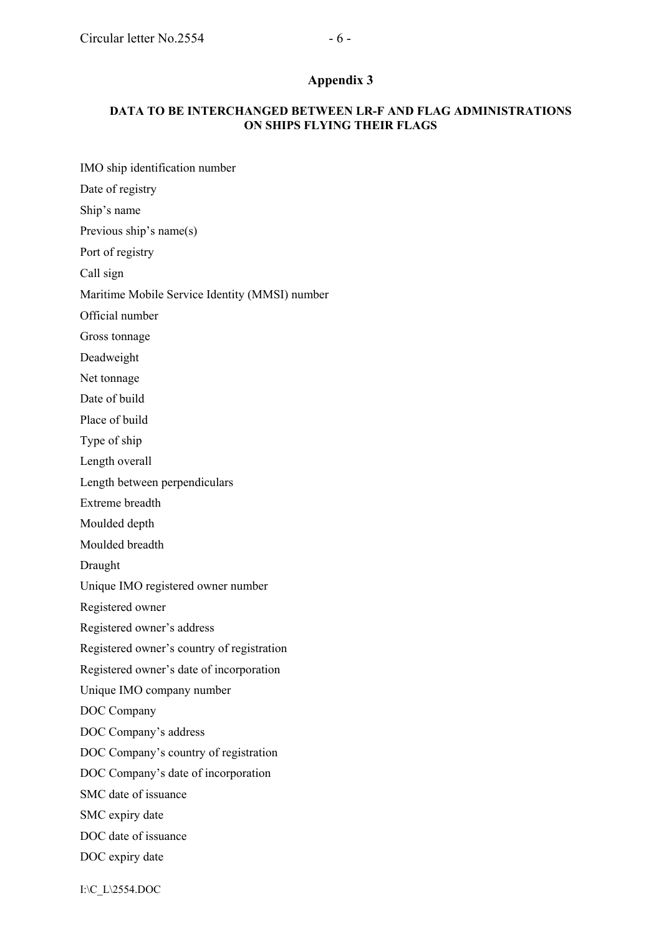IMO ship identification number

### **DATA TO BE INTERCHANGED BETWEEN LR-F AND FLAG ADMINISTRATIONS ON SHIPS FLYING THEIR FLAGS**

Date of registry Ship's name Previous ship's name(s) Port of registry Call sign Maritime Mobile Service Identity (MMSI) number Official number Gross tonnage Deadweight Net tonnage Date of build Place of build Type of ship Length overall Length between perpendiculars Extreme breadth Moulded depth Moulded breadth Draught Unique IMO registered owner number Registered owner Registered owner's address Registered owner's country of registration Registered owner's date of incorporation Unique IMO company number DOC Company DOC Company's address DOC Company's country of registration DOC Company's date of incorporation SMC date of issuance SMC expiry date DOC date of issuance DOC expiry date

I:\C\_L\2554.DOC